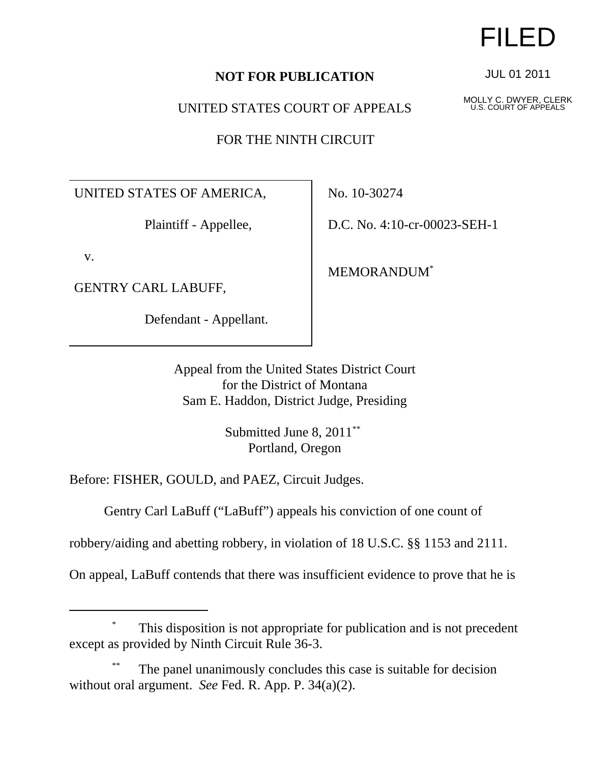## **NOT FOR PUBLICATION**

### UNITED STATES COURT OF APPEALS

FOR THE NINTH CIRCUIT

UNITED STATES OF AMERICA,

Plaintiff - Appellee,

v.

GENTRY CARL LABUFF,

Defendant - Appellant.

No. 10-30274

D.C. No. 4:10-cr-00023-SEH-1

MEMORANDUM\*

Appeal from the United States District Court for the District of Montana Sam E. Haddon, District Judge, Presiding

> Submitted June 8, 2011<sup>\*\*</sup> Portland, Oregon

Before: FISHER, GOULD, and PAEZ, Circuit Judges.

Gentry Carl LaBuff ("LaBuff") appeals his conviction of one count of

robbery/aiding and abetting robbery, in violation of 18 U.S.C. §§ 1153 and 2111.

On appeal, LaBuff contends that there was insufficient evidence to prove that he is

## This disposition is not appropriate for publication and is not precedent except as provided by Ninth Circuit Rule 36-3.

The panel unanimously concludes this case is suitable for decision without oral argument. *See* Fed. R. App. P. 34(a)(2).

# FILED

JUL 01 2011

MOLLY C. DWYER, CLERK U.S. COURT OF APPEALS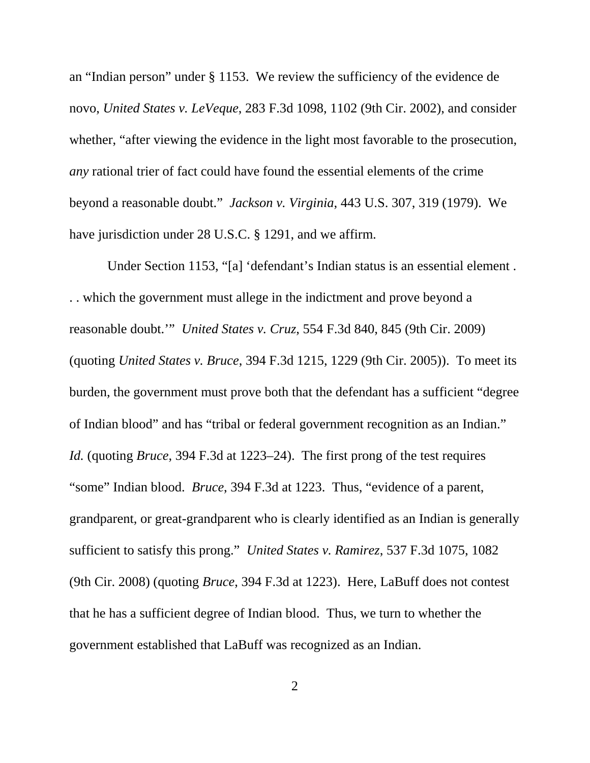an "Indian person" under § 1153. We review the sufficiency of the evidence de novo, *United States v. LeVeque*, 283 F.3d 1098, 1102 (9th Cir. 2002), and consider whether, "after viewing the evidence in the light most favorable to the prosecution, *any* rational trier of fact could have found the essential elements of the crime beyond a reasonable doubt." *Jackson v. Virginia*, 443 U.S. 307, 319 (1979). We have jurisdiction under 28 U.S.C. § 1291, and we affirm.

 Under Section 1153, "[a] 'defendant's Indian status is an essential element . . . which the government must allege in the indictment and prove beyond a reasonable doubt.'" *United States v. Cruz*, 554 F.3d 840, 845 (9th Cir. 2009) (quoting *United States v. Bruce*, 394 F.3d 1215, 1229 (9th Cir. 2005)). To meet its burden, the government must prove both that the defendant has a sufficient "degree of Indian blood" and has "tribal or federal government recognition as an Indian." *Id.* (quoting *Bruce*, 394 F.3d at 1223–24). The first prong of the test requires "some" Indian blood. *Bruce*, 394 F.3d at 1223. Thus, "evidence of a parent, grandparent, or great-grandparent who is clearly identified as an Indian is generally sufficient to satisfy this prong." *United States v. Ramirez*, 537 F.3d 1075, 1082 (9th Cir. 2008) (quoting *Bruce*, 394 F.3d at 1223). Here, LaBuff does not contest that he has a sufficient degree of Indian blood. Thus, we turn to whether the government established that LaBuff was recognized as an Indian.

2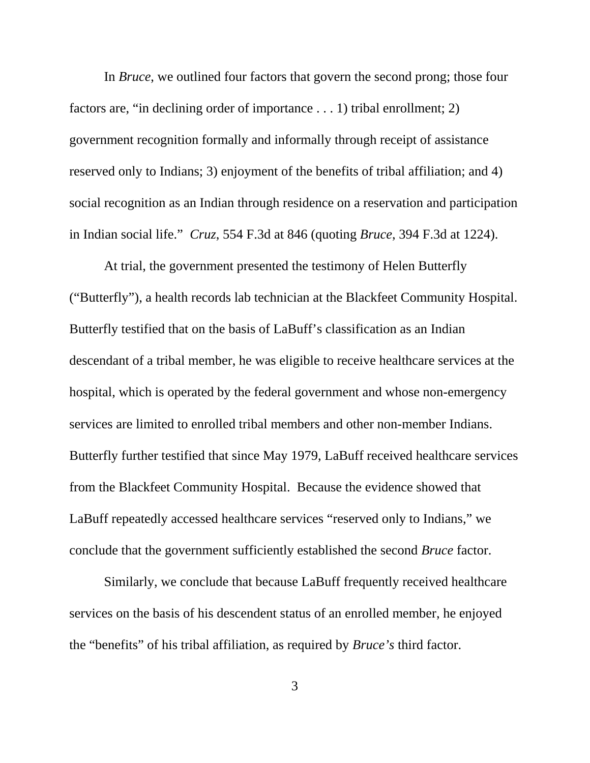In *Bruce*, we outlined four factors that govern the second prong; those four factors are, "in declining order of importance . . . 1) tribal enrollment; 2) government recognition formally and informally through receipt of assistance reserved only to Indians; 3) enjoyment of the benefits of tribal affiliation; and 4) social recognition as an Indian through residence on a reservation and participation in Indian social life." *Cruz*, 554 F.3d at 846 (quoting *Bruce*, 394 F.3d at 1224).

At trial, the government presented the testimony of Helen Butterfly ("Butterfly"), a health records lab technician at the Blackfeet Community Hospital. Butterfly testified that on the basis of LaBuff's classification as an Indian descendant of a tribal member, he was eligible to receive healthcare services at the hospital, which is operated by the federal government and whose non-emergency services are limited to enrolled tribal members and other non-member Indians. Butterfly further testified that since May 1979, LaBuff received healthcare services from the Blackfeet Community Hospital. Because the evidence showed that LaBuff repeatedly accessed healthcare services "reserved only to Indians," we conclude that the government sufficiently established the second *Bruce* factor.

Similarly, we conclude that because LaBuff frequently received healthcare services on the basis of his descendent status of an enrolled member, he enjoyed the "benefits" of his tribal affiliation, as required by *Bruce's* third factor.